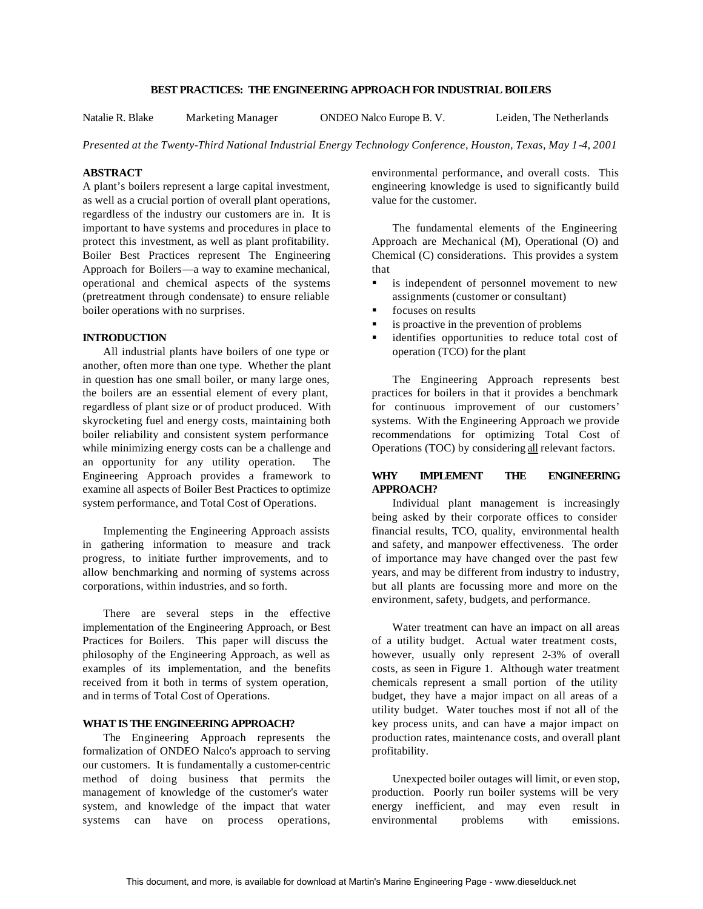### **BEST PRACTICES: THE ENGINEERING APPROACH FOR INDUSTRIAL BOILERS**

Natalie R. Blake Marketing Manager ONDEO Nalco Europe B. V. Leiden, The Netherlands

*Presented at the Twenty-Third National Industrial Energy Technology Conference, Houston, Texas, May 1-4, 2001*

### **ABSTRACT**

A plant's boilers represent a large capital investment, as well as a crucial portion of overall plant operations, regardless of the industry our customers are in. It is important to have systems and procedures in place to protect this investment, as well as plant profitability. Boiler Best Practices represent The Engineering Approach for Boilers—a way to examine mechanical, operational and chemical aspects of the systems (pretreatment through condensate) to ensure reliable boiler operations with no surprises.

## **INTRODUCTION**

All industrial plants have boilers of one type or another, often more than one type. Whether the plant in question has one small boiler, or many large ones, the boilers are an essential element of every plant, regardless of plant size or of product produced. With skyrocketing fuel and energy costs, maintaining both boiler reliability and consistent system performance while minimizing energy costs can be a challenge and an opportunity for any utility operation. The Engineering Approach provides a framework to examine all aspects of Boiler Best Practices to optimize system performance, and Total Cost of Operations.

Implementing the Engineering Approach assists in gathering information to measure and track progress, to initiate further improvements, and to allow benchmarking and norming of systems across corporations, within industries, and so forth.

There are several steps in the effective implementation of the Engineering Approach, or Best Practices for Boilers. This paper will discuss the philosophy of the Engineering Approach, as well as examples of its implementation, and the benefits received from it both in terms of system operation, and in terms of Total Cost of Operations.

#### **WHAT IS THE ENGINEERING APPROACH?**

The Engineering Approach represents the formalization of ONDEO Nalco's approach to serving our customers. It is fundamentally a customer-centric method of doing business that permits the management of knowledge of the customer's water system, and knowledge of the impact that water systems can have on process operations, environmental performance, and overall costs. This engineering knowledge is used to significantly build value for the customer.

The fundamental elements of the Engineering Approach are Mechanical (M), Operational (O) and Chemical (C) considerations. This provides a system that

- **s** is independent of personnel movement to new assignments (customer or consultant)
- focuses on results
- $\blacksquare$  is proactive in the prevention of problems
- ß identifies opportunities to reduce total cost of operation (TCO) for the plant

The Engineering Approach represents best practices for boilers in that it provides a benchmark for continuous improvement of our customers' systems. With the Engineering Approach we provide recommendations for optimizing Total Cost of Operations (TOC) by considering all relevant factors.

## **WHY IMPLEMENT THE ENGINEERING APPROACH?**

Individual plant management is increasingly being asked by their corporate offices to consider financial results, TCO, quality, environmental health and safety, and manpower effectiveness. The order of importance may have changed over the past few years, and may be different from industry to industry, but all plants are focussing more and more on the environment, safety, budgets, and performance.

Water treatment can have an impact on all areas of a utility budget. Actual water treatment costs, however, usually only represent 2-3% of overall costs, as seen in Figure 1. Although water treatment chemicals represent a small portion of the utility budget, they have a major impact on all areas of a utility budget. Water touches most if not all of the key process units, and can have a major impact on production rates, maintenance costs, and overall plant profitability.

Unexpected boiler outages will limit, or even stop, production. Poorly run boiler systems will be very energy inefficient, and may even result in environmental problems with emissions.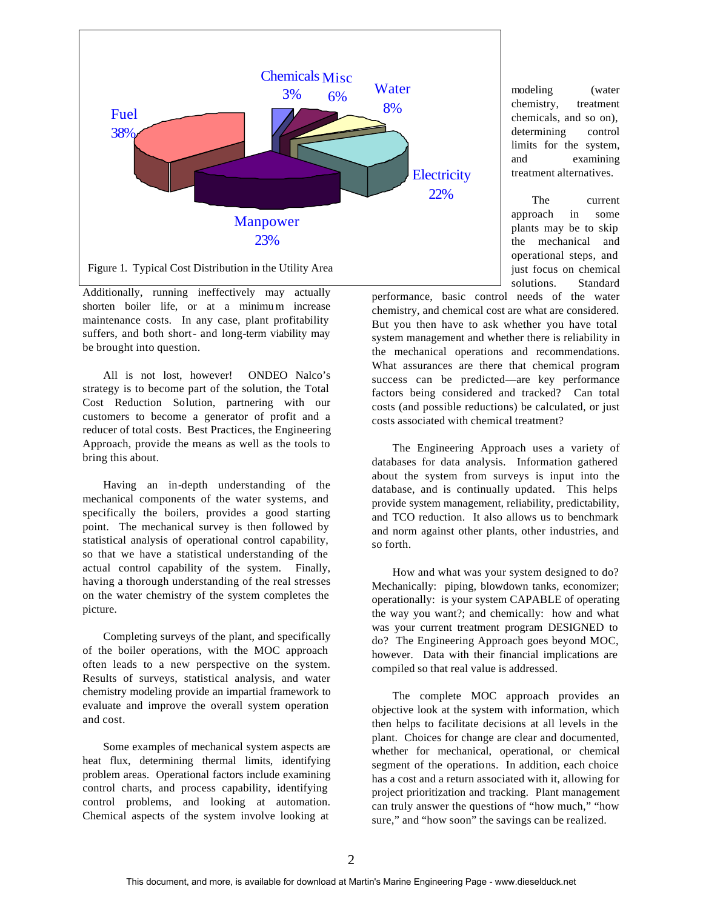

Additionally, running ineffectively may actually shorten boiler life, or at a minimum increase maintenance costs. In any case, plant profitability suffers, and both short- and long-term viability may be brought into question.

All is not lost, however! ONDEO Nalco's strategy is to become part of the solution, the Total Cost Reduction Solution, partnering with our customers to become a generator of profit and a reducer of total costs. Best Practices, the Engineering Approach, provide the means as well as the tools to bring this about.

Having an in-depth understanding of the mechanical components of the water systems, and specifically the boilers, provides a good starting point. The mechanical survey is then followed by statistical analysis of operational control capability, so that we have a statistical understanding of the actual control capability of the system. Finally, having a thorough understanding of the real stresses on the water chemistry of the system completes the picture.

Completing surveys of the plant, and specifically of the boiler operations, with the MOC approach often leads to a new perspective on the system. Results of surveys, statistical analysis, and water chemistry modeling provide an impartial framework to evaluate and improve the overall system operation and cost.

Some examples of mechanical system aspects are heat flux, determining thermal limits, identifying problem areas. Operational factors include examining control charts, and process capability, identifying control problems, and looking at automation. Chemical aspects of the system involve looking at

modeling (water chemistry, treatment chemicals, and so on), determining control limits for the system, and examining treatment alternatives.

The current approach in some plants may be to skip the mechanical and operational steps, and just focus on chemical solutions. Standard

performance, basic control needs of the water chemistry, and chemical cost are what are considered. But you then have to ask whether you have total system management and whether there is reliability in the mechanical operations and recommendations. What assurances are there that chemical program success can be predicted—are key performance factors being considered and tracked? Can total costs (and possible reductions) be calculated, or just costs associated with chemical treatment?

The Engineering Approach uses a variety of databases for data analysis. Information gathered about the system from surveys is input into the database, and is continually updated. This helps provide system management, reliability, predictability, and TCO reduction. It also allows us to benchmark and norm against other plants, other industries, and so forth.

How and what was your system designed to do? Mechanically: piping, blowdown tanks, economizer; operationally: is your system CAPABLE of operating the way you want?; and chemically: how and what was your current treatment program DESIGNED to do? The Engineering Approach goes beyond MOC, however. Data with their financial implications are compiled so that real value is addressed.

The complete MOC approach provides an objective look at the system with information, which then helps to facilitate decisions at all levels in the plant. Choices for change are clear and documented, whether for mechanical, operational, or chemical segment of the operations. In addition, each choice has a cost and a return associated with it, allowing for project prioritization and tracking. Plant management can truly answer the questions of "how much," "how sure," and "how soon" the savings can be realized.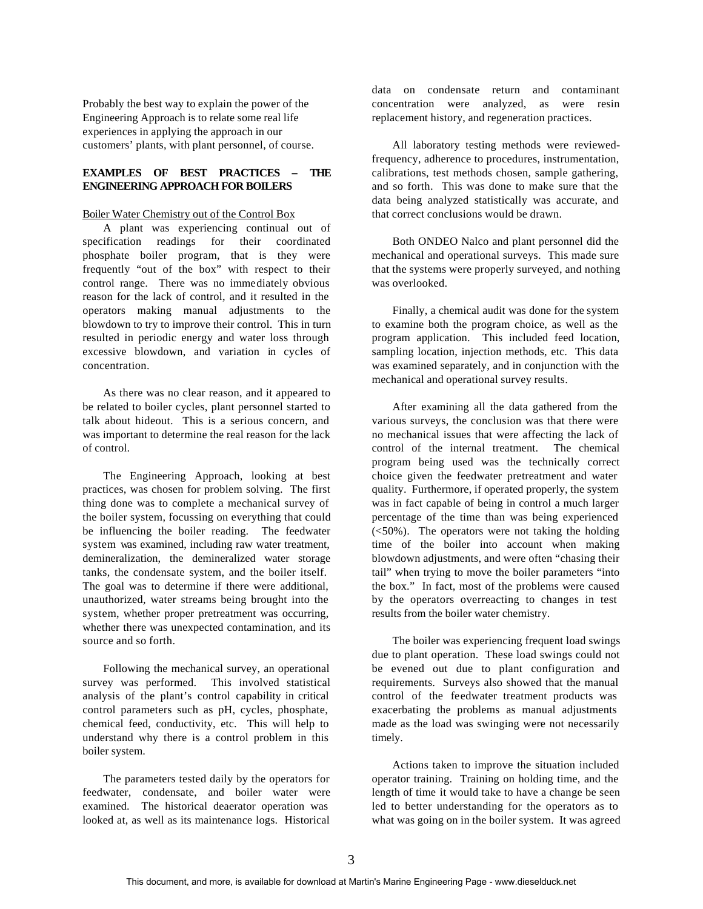Probably the best way to explain the power of the Engineering Approach is to relate some real life experiences in applying the approach in our customers' plants, with plant personnel, of course.

# **EXAMPLES OF BEST PRACTICES – THE ENGINEERING APPROACH FOR BOILERS**

#### Boiler Water Chemistry out of the Control Box

A plant was experiencing continual out of specification readings for their coordinated phosphate boiler program, that is they were frequently "out of the box" with respect to their control range. There was no immediately obvious reason for the lack of control, and it resulted in the operators making manual adjustments to the blowdown to try to improve their control. This in turn resulted in periodic energy and water loss through excessive blowdown, and variation in cycles of concentration.

As there was no clear reason, and it appeared to be related to boiler cycles, plant personnel started to talk about hideout. This is a serious concern, and was important to determine the real reason for the lack of control.

The Engineering Approach, looking at best practices, was chosen for problem solving. The first thing done was to complete a mechanical survey of the boiler system, focussing on everything that could be influencing the boiler reading. The feedwater system was examined, including raw water treatment, demineralization, the demineralized water storage tanks, the condensate system, and the boiler itself. The goal was to determine if there were additional, unauthorized, water streams being brought into the system, whether proper pretreatment was occurring, whether there was unexpected contamination, and its source and so forth.

Following the mechanical survey, an operational survey was performed. This involved statistical analysis of the plant's control capability in critical control parameters such as pH, cycles, phosphate, chemical feed, conductivity, etc. This will help to understand why there is a control problem in this boiler system.

The parameters tested daily by the operators for feedwater, condensate, and boiler water were examined. The historical deaerator operation was looked at, as well as its maintenance logs. Historical

data on condensate return and contaminant concentration were analyzed, as were resin replacement history, and regeneration practices.

All laboratory testing methods were reviewedfrequency, adherence to procedures, instrumentation, calibrations, test methods chosen, sample gathering, and so forth. This was done to make sure that the data being analyzed statistically was accurate, and that correct conclusions would be drawn.

Both ONDEO Nalco and plant personnel did the mechanical and operational surveys. This made sure that the systems were properly surveyed, and nothing was overlooked.

Finally, a chemical audit was done for the system to examine both the program choice, as well as the program application. This included feed location, sampling location, injection methods, etc. This data was examined separately, and in conjunction with the mechanical and operational survey results.

After examining all the data gathered from the various surveys, the conclusion was that there were no mechanical issues that were affecting the lack of control of the internal treatment. The chemical program being used was the technically correct choice given the feedwater pretreatment and water quality. Furthermore, if operated properly, the system was in fact capable of being in control a much larger percentage of the time than was being experienced (<50%). The operators were not taking the holding time of the boiler into account when making blowdown adjustments, and were often "chasing their tail" when trying to move the boiler parameters "into the box." In fact, most of the problems were caused by the operators overreacting to changes in test results from the boiler water chemistry.

The boiler was experiencing frequent load swings due to plant operation. These load swings could not be evened out due to plant configuration and requirements. Surveys also showed that the manual control of the feedwater treatment products was exacerbating the problems as manual adjustments made as the load was swinging were not necessarily timely.

Actions taken to improve the situation included operator training. Training on holding time, and the length of time it would take to have a change be seen led to better understanding for the operators as to what was going on in the boiler system. It was agreed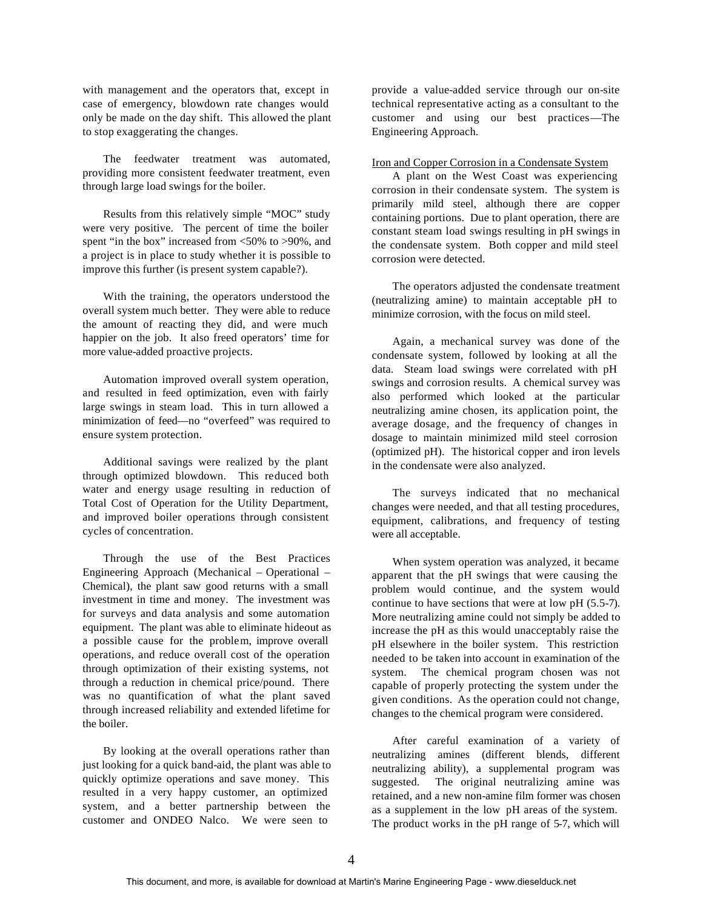with management and the operators that, except in case of emergency, blowdown rate changes would only be made on the day shift. This allowed the plant to stop exaggerating the changes.

The feedwater treatment was automated, providing more consistent feedwater treatment, even through large load swings for the boiler.

Results from this relatively simple "MOC" study were very positive. The percent of time the boiler spent "in the box" increased from <50% to >90%, and a project is in place to study whether it is possible to improve this further (is present system capable?).

With the training, the operators understood the overall system much better. They were able to reduce the amount of reacting they did, and were much happier on the job. It also freed operators' time for more value-added proactive projects.

Automation improved overall system operation, and resulted in feed optimization, even with fairly large swings in steam load. This in turn allowed a minimization of feed—no "overfeed" was required to ensure system protection.

Additional savings were realized by the plant through optimized blowdown. This reduced both water and energy usage resulting in reduction of Total Cost of Operation for the Utility Department, and improved boiler operations through consistent cycles of concentration.

Through the use of the Best Practices Engineering Approach (Mechanical – Operational – Chemical), the plant saw good returns with a small investment in time and money. The investment was for surveys and data analysis and some automation equipment. The plant was able to eliminate hideout as a possible cause for the problem, improve overall operations, and reduce overall cost of the operation through optimization of their existing systems, not through a reduction in chemical price/pound. There was no quantification of what the plant saved through increased reliability and extended lifetime for the boiler.

By looking at the overall operations rather than just looking for a quick band-aid, the plant was able to quickly optimize operations and save money. This resulted in a very happy customer, an optimized system, and a better partnership between the customer and ONDEO Nalco. We were seen to

provide a value-added service through our on-site technical representative acting as a consultant to the customer and using our best practices—The Engineering Approach.

#### Iron and Copper Corrosion in a Condensate System

A plant on the West Coast was experiencing corrosion in their condensate system. The system is primarily mild steel, although there are copper containing portions. Due to plant operation, there are constant steam load swings resulting in pH swings in the condensate system. Both copper and mild steel corrosion were detected.

The operators adjusted the condensate treatment (neutralizing amine) to maintain acceptable pH to minimize corrosion, with the focus on mild steel.

Again, a mechanical survey was done of the condensate system, followed by looking at all the data. Steam load swings were correlated with pH swings and corrosion results. A chemical survey was also performed which looked at the particular neutralizing amine chosen, its application point, the average dosage, and the frequency of changes in dosage to maintain minimized mild steel corrosion (optimized pH). The historical copper and iron levels in the condensate were also analyzed.

The surveys indicated that no mechanical changes were needed, and that all testing procedures, equipment, calibrations, and frequency of testing were all acceptable.

When system operation was analyzed, it became apparent that the pH swings that were causing the problem would continue, and the system would continue to have sections that were at low pH (5.5-7). More neutralizing amine could not simply be added to increase the pH as this would unacceptably raise the pH elsewhere in the boiler system. This restriction needed to be taken into account in examination of the system. The chemical program chosen was not capable of properly protecting the system under the given conditions. As the operation could not change, changes to the chemical program were considered.

After careful examination of a variety of neutralizing amines (different blends, different neutralizing ability), a supplemental program was suggested. The original neutralizing amine was retained, and a new non-amine film former was chosen as a supplement in the low pH areas of the system. The product works in the pH range of 5-7, which will